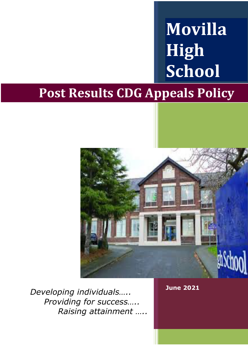# **Movilla High School**

# **Post Results CDG Appeals Policy**



*Developing individuals….. Providing for success….. Raising attainment …..* **June 2021**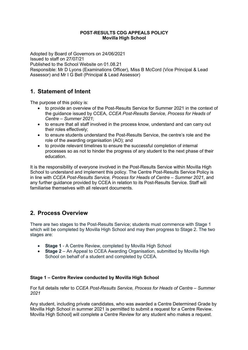#### **POST-RESULTS CDG APPEALS POLICY Movilla High School**

Adopted by Board of Governors on 24/06/2021 Issued to staff on 27/07/21 Published to the School Website on 01.08.21 Responsible: Mr D Lyons (Examinations Officer), Miss B McCord (Vice Principal & Lead Assessor) and Mr I G Bell (Principal & Lead Assessor)

# **1. Statement of Intent**

The purpose of this policy is:

- to provide an overview of the Post-Results Service for Summer 2021 in the context of the guidance issued by CCEA, *CCEA Post-Results Service, Process for Heads of Centre – Summer 2021*;
- to ensure that all staff involved in the process know, understand and can carry out their roles effectively;
- to ensure students understand the Post-Results Service, the centre's role and the role of the awarding organisation (AO); and
- to provide relevant timelines to ensure the successful completion of internal processes so as not to hinder the progress of any student to the next phase of their education.

It is the responsibility of everyone involved in the Post-Results Service within Movilla High School to understand and implement this policy. The Centre Post-Results Service Policy is in line with *CCEA Post-Results Service, Process for Heads of Centre – Summer 2021*, and any further guidance provided by CCEA in relation to its Post-Results Service. Staff will familiarise themselves with all relevant documents.

# **2. Process Overview**

There are two stages to the Post-Results Service; students must commence with Stage 1 which will be completed by Movilla High School and may then progress to Stage 2. The two stages are:

- **Stage 1 A Centre Review, completed by Movilla High School**
- **Stage 2** An Appeal to CCEA Awarding Organisation, submitted by Movilla High School on behalf of a student and completed by CCEA.

#### **Stage 1 – Centre Review conducted by Movilla High School**

For full details refer to *CCEA Post-Results Service, Process for Heads of Centre – Summer 2021*

Any student, including private candidates, who was awarded a Centre Determined Grade by Movilla High School in summer 2021 is permitted to submit a request for a Centre Review. Movilla High School] will complete a Centre Review for any student who makes a request.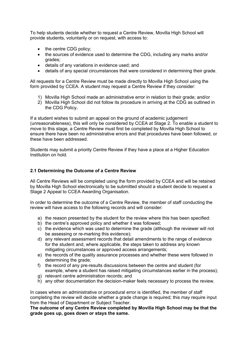To help students decide whether to request a Centre Review, Movilla High School will provide students, voluntarily or on request, with access to:

- the centre CDG policy:
- the sources of evidence used to determine the CDG, including any marks and/or grades;
- details of any variations in evidence used; and
- details of any special circumstances that were considered in determining their grade.

All requests for a Centre Review must be made directly to Movilla High School using the form provided by CCEA. A student may request a Centre Review if they consider:

- 1) Movilla High School made an administrative error in relation to their grade; and/or
- 2) Movilla High School did not follow its procedure in arriving at the CDG as outlined in the CDG Policy**.**

If a student wishes to submit an appeal on the ground of academic judgement (unreasonableness), this will only be considered by CCEA at Stage 2. To enable a student to move to this stage, a Centre Review must first be completed by Movilla High School to ensure there have been no administrative errors and that procedures have been followed, or these have been addressed.

Students may submit a priority Centre Review if they have a place at a Higher Education Institution on hold.

#### **2.1 Determining the Outcome of a Centre Review**

All Centre Reviews will be completed using the form provided by CCEA and will be retained by Movilla High School electronically to be submitted should a student decide to request a Stage 2 Appeal to CCEA Awarding Organisation.

In order to determine the outcome of a Centre Review, the member of staff conducting the review will have access to the following records and will consider:

- a) the reason presented by the student for the review where this has been specified:
- b) the centre's approved policy and whether it was followed;
- c) the evidence which was used to determine the grade (although the reviewer will not be assessing or re-marking this evidence);
- d) any relevant assessment records that detail amendments to the range of evidence for the student and, where applicable, the steps taken to address any known mitigating circumstances or approved access arrangements;
- e) the records of the quality assurance processes and whether these were followed in determining the grade;
- f) the record of any pre-results discussions between the centre and student (for example, where a student has raised mitigating circumstances earlier in the process);
- g) relevant centre administration records; and
- h) any other documentation the decision-maker feels necessary to process the review.

In cases where an administrative or procedural error is identified, the member of staff completing the review will decide whether a grade change is required; this may require input from the Head of Department or Subject Teacher.

**The outcome of any Centre Review completed by Movilla High School may be that the grade goes up, goes down or stays the same.**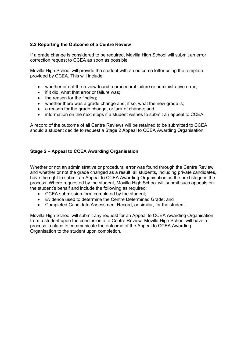#### **2.2 Reporting the Outcome of a Centre Review**

If a grade change is considered to be required, Movilla High School will submit an error correction request to CCEA as soon as possible.

Movilla High School will provide the student with an outcome letter using the template provided by CCEA. This will include:

- whether or not the review found a procedural failure or administrative error;
- if it did, what that error or failure was;
- the reason for the finding;
- whether there was a grade change and, if so, what the new grade is;
- a reason for the grade change, or lack of change; and
- information on the next steps if a student wishes to submit an appeal to CCEA.

A record of the outcome of all Centre Reviews will be retained to be submitted to CCEA should a student decide to request a Stage 2 Appeal to CCEA Awarding Organisation.

#### **Stage 2 – Appeal to CCEA Awarding Organisation**

Whether or not an administrative or procedural error was found through the Centre Review, and whether or not the grade changed as a result, all students, including private candidates, have the right to submit an Appeal to CCEA Awarding Organisation as the next stage in the process. Where requested by the student, Movilla High School will submit such appeals on the student's behalf and include the following as required:

- CCEA submission form completed by the student;
- Evidence used to determine the Centre Determined Grade; and
- Completed Candidate Assessment Record, or similar, for the student.

Movilla High School will submit any request for an Appeal to CCEA Awarding Organisation from a student upon the conclusion of a Centre Review. Movilla High School will have a process in place to communicate the outcome of the Appeal to CCEA Awarding Organisation to the student upon completion.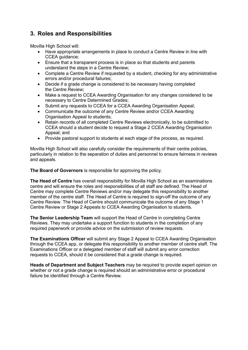# **3. Roles and Responsibilities**

Movilla High School will:

- Have appropriate arrangements in place to conduct a Centre Review in line with CCEA guidance;
- Ensure that a transparent process is in place so that students and parents understand the steps in a Centre Review;
- Complete a Centre Review if requested by a student, checking for any administrative errors and/or procedural failures;
- Decide if a grade change is considered to be necessary having completed the Centre Review;
- Make a request to CCEA Awarding Organisation for any changes considered to be necessary to Centre Determined Grades;
- Submit any requests to CCEA for a CCEA Awarding Organisation Appeal;
- Communicate the outcome of any Centre Review and/or CCEA Awarding Organisation Appeal to students;
- Retain records of all completed Centre Reviews electronically, to be submitted to CCEA should a student decide to request a Stage 2 CCEA Awarding Organisation Appeal; and
- Provide pastoral support to students at each stage of the process, as required.

Movilla High School will also carefully consider the requirements of their centre policies, particularly in relation to the separation of duties and personnel to ensure fairness in reviews and appeals.

**The Board of Governors** is responsible for approving the policy.

**The Head of Centre** has overall responsibility for Movilla High School as an examinations centre and will ensure the roles and responsibilities of all staff are defined. The Head of Centre may complete Centre Reviews and/or may delegate this responsibility to another member of the centre staff. The Head of Centre is required to sign-off the outcome of any Centre Review. The Head of Centre should communicate the outcome of any Stage 1 Centre Review or Stage 2 Appeals to CCEA Awarding Organisation to students.

**The Senior Leadership Team** will support the Head of Centre in completing Centre Reviews. They may undertake a support function to students in the completion of any required paperwork or provide advice on the submission of review requests.

**The Examinations Officer** will submit any Stage 2 Appeal to CCEA Awarding Organisation through the CCEA app, or delegate this responsibility to another member of centre staff. The Examinations Officer or a delegated member of staff will submit any error correction requests to CCEA, should it be considered that a grade change is required.

**Heads of Department and Subject Teachers** may be required to provide expert opinion on whether or not a grade change is required should an administrative error or procedural failure be identified through a Centre Review.